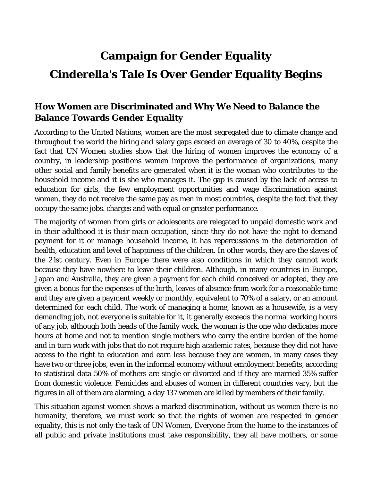## **Campaign for Gender Equality Cinderella's Tale Is Over Gender Equality Begins**

## **How Women are Discriminated and Why We Need to Balance the Balance Towards Gender Equality**

According to the United Nations, women are the most segregated due to climate change and throughout the world the hiring and salary gaps exceed an average of 30 to 40%, despite the fact that UN Women studies show that the hiring of women improves the economy of a country, in leadership positions women improve the performance of organizations, many other social and family benefits are generated when it is the woman who contributes to the household income and it is she who manages it. The gap is caused by the lack of access to education for girls, the few employment opportunities and wage discrimination against women, they do not receive the same pay as men in most countries, despite the fact that they occupy the same jobs. charges and with equal or greater performance.

The majority of women from girls or adolescents are relegated to unpaid domestic work and in their adulthood it is their main occupation, since they do not have the right to demand payment for it or manage household income, it has repercussions in the deterioration of health, education and level of happiness of the children. In other words, they are the slaves of the 21st century. Even in Europe there were also conditions in which they cannot work because they have nowhere to leave their children. Although, in many countries in Europe, Japan and Australia, they are given a payment for each child conceived or adopted, they are given a bonus for the expenses of the birth, leaves of absence from work for a reasonable time and they are given a payment weekly or monthly, equivalent to 70% of a salary, or an amount determined for each child. The work of managing a home, known as a housewife, is a very demanding job, not everyone is suitable for it, it generally exceeds the normal working hours of any job, although both heads of the family work, the woman is the one who dedicates more hours at home and not to mention single mothers who carry the entire burden of the home and in turn work with jobs that do not require high academic rates, because they did not have access to the right to education and earn less because they are women, in many cases they have two or three jobs, even in the informal economy without employment benefits, according to statistical data 50% of mothers are single or divorced and if they are married 35% suffer from domestic violence. Femicides and abuses of women in different countries vary, but the figures in all of them are alarming, a day 137 women are killed by members of their family.

This situation against women shows a marked discrimination, without us women there is no humanity, therefore, we must work so that the rights of women are respected in gender equality, this is not only the task of UN Women, Everyone from the home to the instances of all public and private institutions must take responsibility, they all have mothers, or some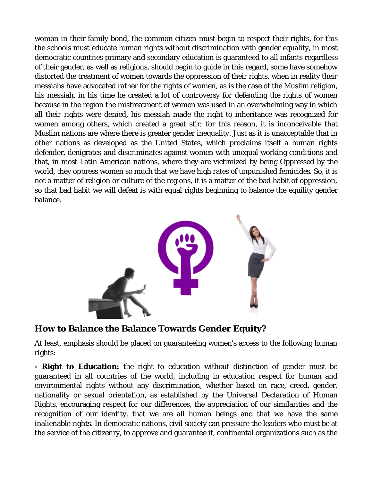woman in their family bond, the common citizen must begin to respect their rights, for this the schools must educate human rights without discrimination with gender equality, in most democratic countries primary and secondary education is guaranteed to all infants regardless of their gender, as well as religions, should begin to guide in this regard, some have somehow distorted the treatment of women towards the oppression of their rights, when in reality their messiahs have advocated rather for the rights of women, as is the case of the Muslim religion, his messiah, in his time he created a lot of controversy for defending the rights of women because in the region the mistreatment of women was used in an overwhelming way in which all their rights were denied, his messiah made the right to inheritance was recognized for women among others, which created a great stir; for this reason, it is inconceivable that Muslim nations are where there is greater gender inequality. Just as it is unacceptable that in other nations as developed as the United States, which proclaims itself a human rights defender, denigrates and discriminates against women with unequal working conditions and that, in most Latin American nations, where they are victimized by being Oppressed by the world, they oppress women so much that we have high rates of unpunished femicides. So, it is not a matter of religion or culture of the regions, it is a matter of the bad habit of oppression, so that bad habit we will defeat is with equal rights beginning to balance the equility gender balance.



## **How to Balance the Balance Towards Gender Equity?**

At least, emphasis should be placed on guaranteeing women's access to the following human rights:

**- Right to Education:** the right to education without distinction of gender must be guaranteed in all countries of the world, including in education respect for human and environmental rights without any discrimination, whether based on race, creed, gender, nationality or sexual orientation, as established by the Universal Declaration of Human Rights, encouraging respect for our differences, the appreciation of our similarities and the recognition of our identity, that we are all human beings and that we have the same inalienable rights. In democratic nations, civil society can pressure the leaders who must be at the service of the citizenry, to approve and guarantee it, continental organizations such as the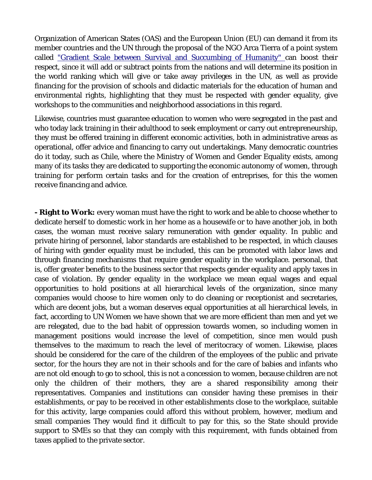Organization of American States (OAS) and the European Union (EU) can demand it from its member countries and the UN through the proposal of the NGO Arca Tierra of a point system called "Gradient Scale between Survival and Succumbing of Humanity" can boost their respect, since it will add or subtract points from the nations and will determine its position in the world ranking which will give or take away privileges in the UN, as well as provide financing for the provision of schools and didactic materials for the education of human and environmental rights, highlighting that they must be respected with gender equality, give workshops to the communities and neighborhood associations in this regard.

Likewise, countries must guarantee education to women who were segregated in the past and who today lack training in their adulthood to seek employment or carry out entrepreneurship, they must be offered training in different economic activities, both in administrative areas as operational, offer advice and financing to carry out undertakings. Many democratic countries do it today, such as Chile, where the Ministry of Women and Gender Equality exists, among many of its tasks they are dedicated to supporting the economic autonomy of women, through training for perform certain tasks and for the creation of entreprises, for this the women receive financing and advice.

**- Right to Work:** every woman must have the right to work and be able to choose whether to dedicate herself to domestic work in her home as a housewife or to have another job, in both cases, the woman must receive salary remuneration with gender equality. In public and private hiring of personnel, labor standards are established to be respected, in which clauses of hiring with gender equality must be included, this can be promoted with labor laws and through financing mechanisms that require gender equality in the workplace. personal, that is, offer greater benefits to the business sector that respects gender equality and apply taxes in case of violation. By gender equality in the workplace we mean equal wages and equal opportunities to hold positions at all hierarchical levels of the organization, since many companies would choose to hire women only to do cleaning or receptionist and secretaries, which are decent jobs, but a woman deserves equal opportunities at all hierarchical levels, in fact, according to UN Women we have shown that we are more efficient than men and yet we are relegated, due to the bad habit of oppression towards women, so including women in management positions would increase the level of competition, since men would push themselves to the maximum to reach the level of meritocracy of women. Likewise, places should be considered for the care of the children of the employees of the public and private sector, for the hours they are not in their schools and for the care of babies and infants who are not old enough to go to school, this is not a concession to women, because children are not only the children of their mothers, they are a shared responsibility among their representatives. Companies and institutions can consider having these premises in their establishments, or pay to be received in other establishments close to the workplace, suitable for this activity, large companies could afford this without problem, however, medium and small companies They would find it difficult to pay for this, so the State should provide support to SMEs so that they can comply with this requirement, with funds obtained from taxes applied to the private sector.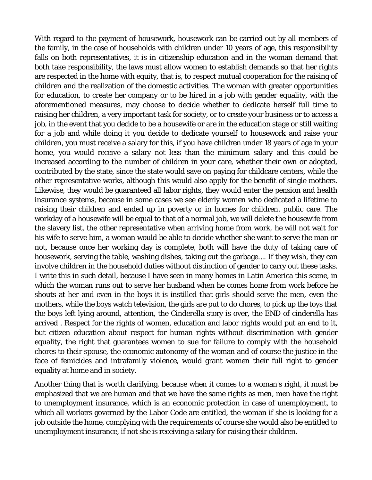With regard to the payment of housework, housework can be carried out by all members of the family, in the case of households with children under 10 years of age, this responsibility falls on both representatives, it is in citizenship education and in the woman demand that both take responsibility, the laws must allow women to establish demands so that her rights are respected in the home with equity, that is, to respect mutual cooperation for the raising of children and the realization of the domestic activities. The woman with greater opportunities for education, to create her company or to be hired in a job with gender equality, with the aforementioned measures, may choose to decide whether to dedicate herself full time to raising her children, a very important task for society, or to create your business or to access a job, in the event that you decide to be a housewife or are in the education stage or still waiting for a job and while doing it you decide to dedicate yourself to housework and raise your children, you must receive a salary for this, if you have children under 18 years of age in your home, you would receive a salary not less than the minimum salary and this could be increased according to the number of children in your care, whether their own or adopted, contributed by the state, since the state would save on paying for childcare centers, while the other representative works, although this would also apply for the benefit of single mothers. Likewise, they would be guaranteed all labor rights, they would enter the pension and health insurance systems, because in some cases we see elderly women who dedicated a lifetime to raising their children and ended up in poverty or in homes for children. public care. The workday of a housewife will be equal to that of a normal job, we will delete the housewife from the slavery list, the other representative when arriving home from work, he will not wait for his wife to serve him, a woman would be able to decide whether she want to serve the man or not, because once her working day is complete, both will have the duty of taking care of housework, serving the table, washing dishes, taking out the garbage…. If they wish, they can involve children in the household duties without distinction of gender to carry out these tasks. I write this in such detail, because I have seen in many homes in Latin America this scene, in which the woman runs out to serve her husband when he comes home from work before he shouts at her and even in the boys it is instilled that girls should serve the men, even the mothers, while the boys watch television, the girls are put to do chores, to pick up the toys that the boys left lying around, attention, the Cinderella story is over, the END of cinderella has arrived . Respect for the rights of women, education and labor rights would put an end to it, but citizen education about respect for human rights without discrimination with gender equality, the right that guarantees women to sue for failure to comply with the household chores to their spouse, the economic autonomy of the woman and of course the justice in the face of femicides and intrafamily violence, would grant women their full right to gender equality at home and in society.

Another thing that is worth clarifying, because when it comes to a woman's right, it must be emphasized that we are human and that we have the same rights as men, men have the right to unemployment insurance, which is an economic protection in case of unemployment, to which all workers governed by the Labor Code are entitled, the woman if she is looking for a job outside the home, complying with the requirements of course she would also be entitled to unemployment insurance, if not she is receiving a salary for raising their children.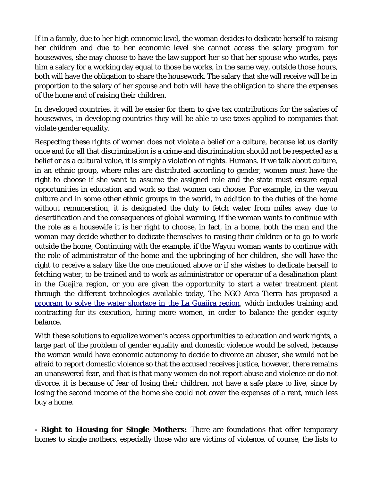If in a family, due to her high economic level, the woman decides to dedicate herself to raising her children and due to her economic level she cannot access the salary program for housewives, she may choose to have the law support her so that her spouse who works, pays him a salary for a working day equal to those he works, in the same way, outside those hours, both will have the obligation to share the housework. The salary that she will receive will be in proportion to the salary of her spouse and both will have the obligation to share the expenses of the home and of raising their children.

In developed countries, it will be easier for them to give tax contributions for the salaries of housewives, in developing countries they will be able to use taxes applied to companies that violate gender equality.

Respecting these rights of women does not violate a belief or a culture, because let us clarify once and for all that discrimination is a crime and discrimination should not be respected as a belief or as a cultural value, it is simply a violation of rights. Humans. If we talk about culture, in an ethnic group, where roles are distributed according to gender, women must have the right to choose if she want to assume the assigned role and the state must ensure equal opportunities in education and work so that women can choose. For example, in the wayuu culture and in some other ethnic groups in the world, in addition to the duties of the home without remuneration, it is designated the duty to fetch water from miles away due to desertification and the consequences of global warming, if the woman wants to continue with the role as a housewife it is her right to choose, in fact, in a home, both the man and the woman may decide whether to dedicate themselves to raising their children or to go to work outside the home, Continuing with the example, if the Wayuu woman wants to continue with the role of administrator of the home and the upbringing of her children, she will have the right to receive a salary like the one mentioned above or if she wishes to dedicate herself to fetching water, to be trained and to work as administrator or operator of a desalination plant in the Guajira region, or you are given the opportunity to start a water treatment plant through the different technologies available today, The NGO Arca Tierra has proposed a program to solve the water shortage in the La Guajira region, which includes training and contracting for its execution, hiring more women, in order to balance the gender equity balance.

With these solutions to equalize women's access opportunities to education and work rights, a large part of the problem of gender equality and domestic violence would be solved, because the woman would have economic autonomy to decide to divorce an abuser, she would not be afraid to report domestic violence so that the accused receives justice, however, there remains an unanswered fear, and that is that many women do not report abuse and violence or do not divorce, it is because of fear of losing their children, not have a safe place to live, since by losing the second income of the home she could not cover the expenses of a rent, much less buy a home.

**- Right to Housing for Single Mothers:** There are foundations that offer temporary homes to single mothers, especially those who are victims of violence, of course, the lists to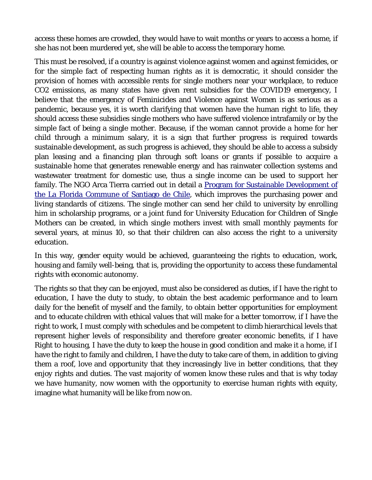access these homes are crowded, they would have to wait months or years to access a home, if she has not been murdered yet, she will be able to access the temporary home.

This must be resolved, if a country is against violence against women and against femicides, or for the simple fact of respecting human rights as it is democratic, it should consider the provision of homes with accessible rents for single mothers near your workplace, to reduce CO2 emissions, as many states have given rent subsidies for the COVID19 emergency, I believe that the emergency of Feminicides and Violence against Women is as serious as a pandemic, because yes, it is worth clarifying that women have the human right to life, they should access these subsidies single mothers who have suffered violence intrafamily or by the simple fact of being a single mother. Because, if the woman cannot provide a home for her child through a minimum salary, it is a sign that further progress is required towards sustainable development, as such progress is achieved, they should be able to access a subsidy plan leasing and a financing plan through soft loans or grants if possible to acquire a sustainable home that generates renewable energy and has rainwater collection systems and wastewater treatment for domestic use, thus a single income can be used to support her family. The NGO Arca Tierra carried out in detail a Program for Sustainable Development of the La Florida Commune of Santiago de Chile, which improves the purchasing power and living standards of citizens. The single mother can send her child to university by enrolling him in scholarship programs, or a joint fund for University Education for Children of Single Mothers can be created, in which single mothers invest with small monthly payments for several years, at minus 10, so that their children can also access the right to a university education.

In this way, gender equity would be achieved, guaranteeing the rights to education, work, housing and family well-being, that is, providing the opportunity to access these fundamental rights with economic autonomy.

The rights so that they can be enjoyed, must also be considered as duties, if I have the right to education, I have the duty to study, to obtain the best academic performance and to learn daily for the benefit of myself and the family, to obtain better opportunities for employment and to educate children with ethical values that will make for a better tomorrow, if I have the right to work, I must comply with schedules and be competent to climb hierarchical levels that represent higher levels of responsibility and therefore greater economic benefits, if I have Right to housing, I have the duty to keep the house in good condition and make it a home, if I have the right to family and children, I have the duty to take care of them, in addition to giving them a roof, love and opportunity that they increasingly live in better conditions, that they enjoy rights and duties. The vast majority of women know these rules and that is why today we have humanity, now women with the opportunity to exercise human rights with equity, imagine what humanity will be like from now on.